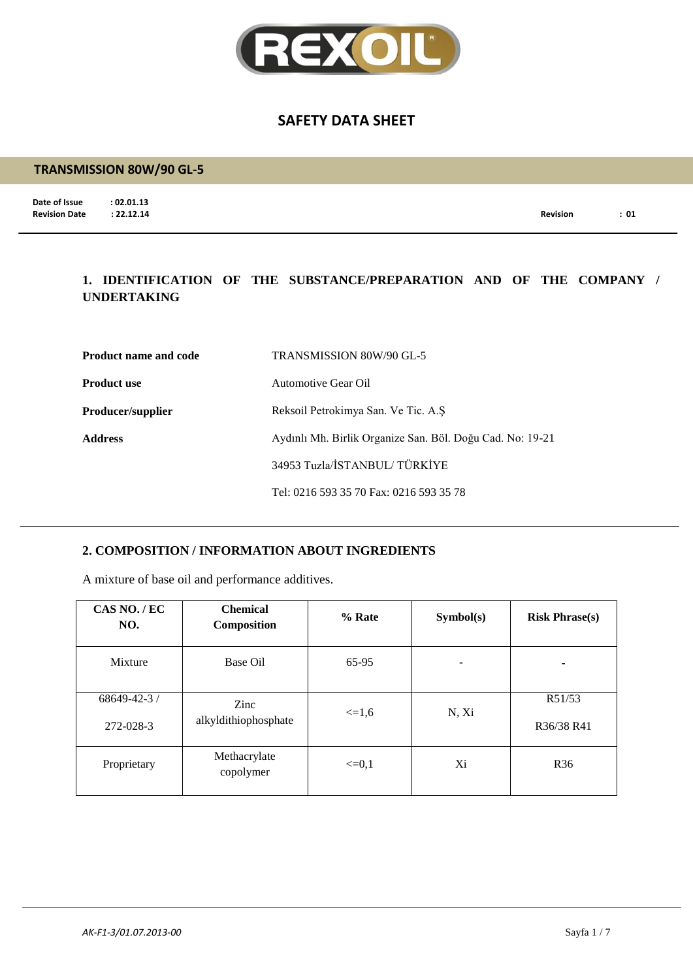

### **TRANSMISSION 80W/90 GL-5**

**Date of Issue : 02.01.13**<br>**Revision Date : 22.12.14** 

**Revision Date : 22.12.14 Revision : 01**

## **1. IDENTIFICATION OF THE SUBSTANCE/PREPARATION AND OF THE COMPANY / UNDERTAKING**

| <b>Product name and code</b> | TRANSMISSION 80W/90 GL-5                                  |
|------------------------------|-----------------------------------------------------------|
| <b>Product use</b>           | Automotive Gear Oil                                       |
| Producer/supplier            | Reksoil Petrokimya San. Ve Tic. A.S.                      |
| <b>Address</b>               | Aydınlı Mh. Birlik Organize San. Böl. Doğu Cad. No: 19-21 |
|                              | 34953 Tuzla/İSTANBUL/TÜRKİYE                              |
|                              | Tel: 0216 593 35 70 Fax: 0216 593 35 78                   |

## **2. COMPOSITION / INFORMATION ABOUT INGREDIENTS**

A mixture of base oil and performance additives.

| CAS NO./EC<br>NO.               | <b>Chemical</b><br>Composition | % Rate     | Symbol(s) | <b>Risk Phrase(s)</b> |
|---------------------------------|--------------------------------|------------|-----------|-----------------------|
| Mixture                         | Base Oil                       | 65-95      |           | ۰                     |
| $68649 - 42 - 3$ /<br>272-028-3 | Zinc<br>alkyldithiophosphate   | $\leq 1.6$ | N, Xi     | R51/53<br>R36/38 R41  |
| Proprietary                     | Methacrylate<br>copolymer      | $\leq=0.1$ | Xi        | R <sub>36</sub>       |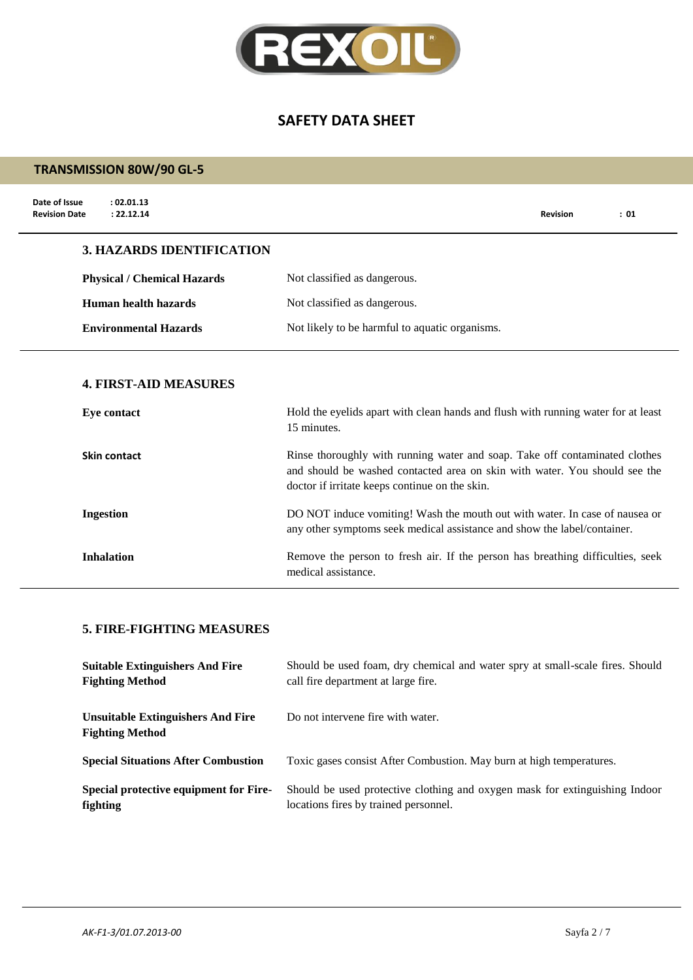

## **TRANSMISSION 80W/90 GL-5**

| Date of Issue<br>: 02.01.13<br>: 22.12.14<br><b>Revision Date</b> |                                                                                                                                                                                                                            | <b>Revision</b> | : 01 |
|-------------------------------------------------------------------|----------------------------------------------------------------------------------------------------------------------------------------------------------------------------------------------------------------------------|-----------------|------|
| <b>3. HAZARDS IDENTIFICATION</b>                                  |                                                                                                                                                                                                                            |                 |      |
| <b>Physical / Chemical Hazards</b>                                | Not classified as dangerous.                                                                                                                                                                                               |                 |      |
| Human health hazards                                              | Not classified as dangerous.                                                                                                                                                                                               |                 |      |
| <b>Environmental Hazards</b>                                      | Not likely to be harmful to aquatic organisms.                                                                                                                                                                             |                 |      |
| <b>4. FIRST-AID MEASURES</b><br>Eye contact                       | Hold the eyelids apart with clean hands and flush with running water for at least                                                                                                                                          |                 |      |
| Skin contact                                                      | 15 minutes.<br>Rinse thoroughly with running water and soap. Take off contaminated clothes<br>and should be washed contacted area on skin with water. You should see the<br>doctor if irritate keeps continue on the skin. |                 |      |
| <b>Ingestion</b>                                                  | DO NOT induce vomiting! Wash the mouth out with water. In case of nausea or<br>any other symptoms seek medical assistance and show the label/container.                                                                    |                 |      |
| <b>Inhalation</b>                                                 | Remove the person to fresh air. If the person has breathing difficulties, seek<br>medical assistance.                                                                                                                      |                 |      |

## **5. FIRE-FIGHTING MEASURES**

| <b>Suitable Extinguishers And Fire</b>                             | Should be used foam, dry chemical and water spry at small-scale fires. Should |
|--------------------------------------------------------------------|-------------------------------------------------------------------------------|
| <b>Fighting Method</b>                                             | call fire department at large fire.                                           |
| <b>Unsuitable Extinguishers And Fire</b><br><b>Fighting Method</b> | Do not intervene fire with water.                                             |
| <b>Special Situations After Combustion</b>                         | Toxic gases consist After Combustion. May burn at high temperatures.          |
| Special protective equipment for Fire-                             | Should be used protective clothing and oxygen mask for extinguishing Indoor   |
| fighting                                                           | locations fires by trained personnel.                                         |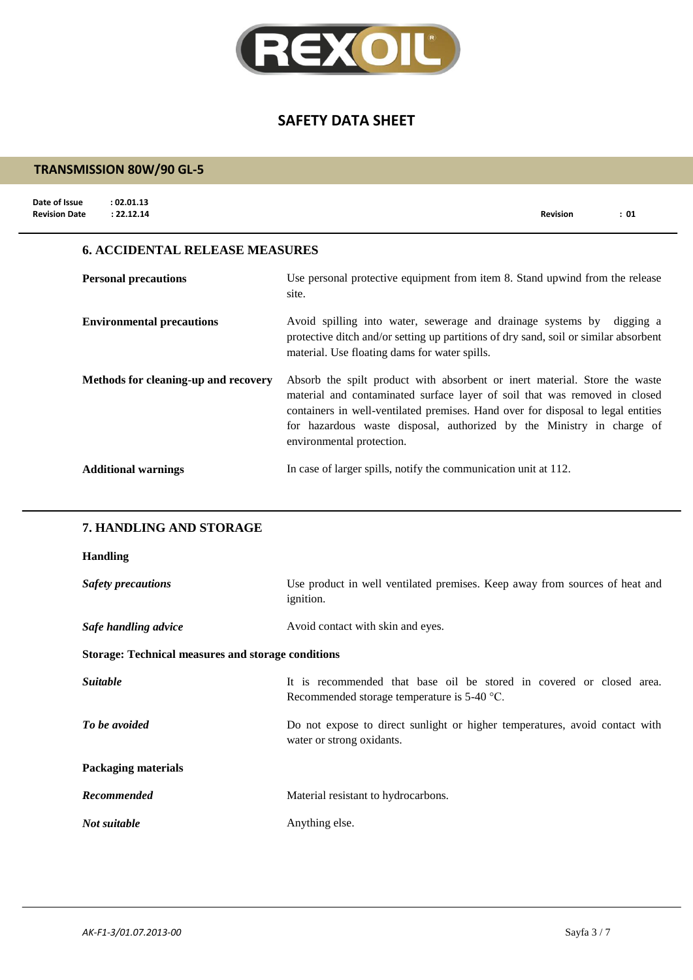

# **TRANSMISSION 80W/90 GL-5**

| Date of Issue<br>: 02.01.13<br>: 22.12.14<br><b>Revision Date</b> | <b>Revision</b><br>: 01                                                                                                                                                                                                                                                                                                                            |  |
|-------------------------------------------------------------------|----------------------------------------------------------------------------------------------------------------------------------------------------------------------------------------------------------------------------------------------------------------------------------------------------------------------------------------------------|--|
| <b>6. ACCIDENTAL RELEASE MEASURES</b>                             |                                                                                                                                                                                                                                                                                                                                                    |  |
| <b>Personal precautions</b>                                       | Use personal protective equipment from item 8. Stand upwind from the release<br>site.                                                                                                                                                                                                                                                              |  |
| <b>Environmental precautions</b>                                  | Avoid spilling into water, sewerage and drainage systems by digging a<br>protective ditch and/or setting up partitions of dry sand, soil or similar absorbent<br>material. Use floating dams for water spills.                                                                                                                                     |  |
| Methods for cleaning-up and recovery                              | Absorb the spilt product with absorbent or inert material. Store the waste<br>material and contaminated surface layer of soil that was removed in closed<br>containers in well-ventilated premises. Hand over for disposal to legal entities<br>for hazardous waste disposal, authorized by the Ministry in charge of<br>environmental protection. |  |
| <b>Additional warnings</b>                                        | In case of larger spills, notify the communication unit at 112.                                                                                                                                                                                                                                                                                    |  |

### **7. HANDLING AND STORAGE**

### **Handling**

| <b>Safety precautions</b>                                 | Use product in well ventilated premises. Keep away from sources of heat and<br><i>ignition.</i>                       |  |
|-----------------------------------------------------------|-----------------------------------------------------------------------------------------------------------------------|--|
| Safe handling advice                                      | Avoid contact with skin and eyes.                                                                                     |  |
| <b>Storage: Technical measures and storage conditions</b> |                                                                                                                       |  |
| <i>Suitable</i>                                           | It is recommended that base oil be stored in covered or closed area.<br>Recommended storage temperature is $5-40$ °C. |  |
| To be avoided                                             | Do not expose to direct sunlight or higher temperatures, avoid contact with<br>water or strong oxidants.              |  |
| Packaging materials                                       |                                                                                                                       |  |
| Recommended                                               | Material resistant to hydrocarbons.                                                                                   |  |
| Not suitable                                              | Anything else.                                                                                                        |  |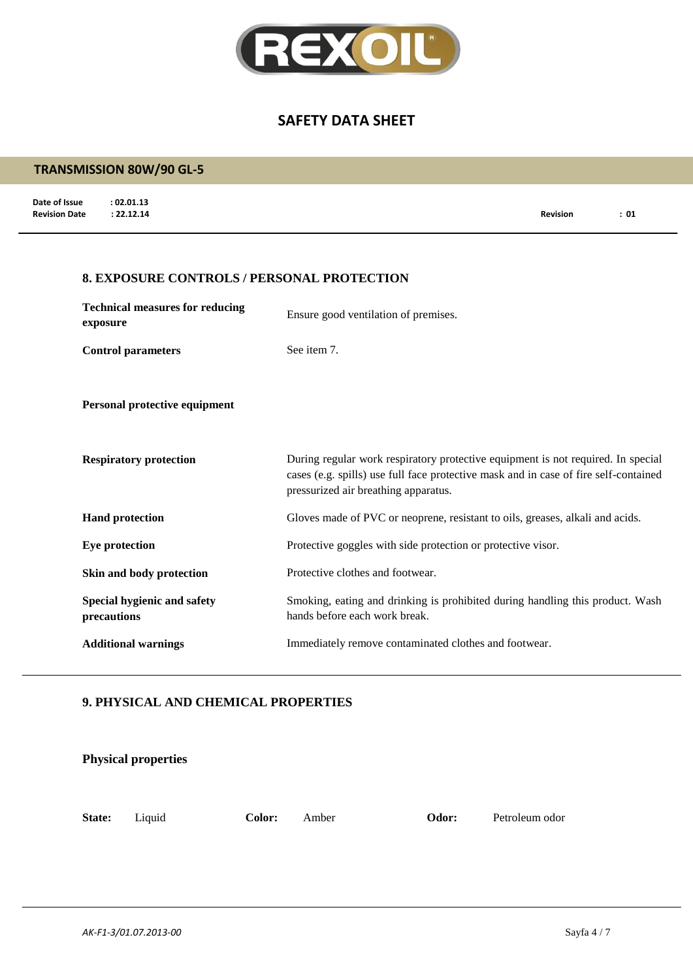

## **TRANSMISSION 80W/90 GL-5**

**Date of Issue : 02.01.13<br>Revision Date : 22.12.14 Revision Date : 22.12.14 Revision : 01**

#### **8. EXPOSURE CONTROLS / PERSONAL PROTECTION**

| <b>Technical measures for reducing</b><br>exposure | Ensure good ventilation of premises.                                                                                                                                                                             |
|----------------------------------------------------|------------------------------------------------------------------------------------------------------------------------------------------------------------------------------------------------------------------|
| <b>Control parameters</b>                          | See item 7.                                                                                                                                                                                                      |
| Personal protective equipment                      |                                                                                                                                                                                                                  |
| <b>Respiratory protection</b>                      | During regular work respiratory protective equipment is not required. In special<br>cases (e.g. spills) use full face protective mask and in case of fire self-contained<br>pressurized air breathing apparatus. |
| <b>Hand protection</b>                             | Gloves made of PVC or neoprene, resistant to oils, greases, alkali and acids.                                                                                                                                    |
| Eye protection                                     | Protective goggles with side protection or protective visor.                                                                                                                                                     |
| Skin and body protection                           | Protective clothes and footwear.                                                                                                                                                                                 |
| Special hygienic and safety<br>precautions         | Smoking, eating and drinking is prohibited during handling this product. Wash<br>hands before each work break.                                                                                                   |
| <b>Additional warnings</b>                         | Immediately remove contaminated clothes and footwear.                                                                                                                                                            |

#### **9. PHYSICAL AND CHEMICAL PROPERTIES**

|        | <b>Physical properties</b> |        |       |       |                |
|--------|----------------------------|--------|-------|-------|----------------|
| State: | Liquid                     | Color: | Amber | Odor: | Petroleum odor |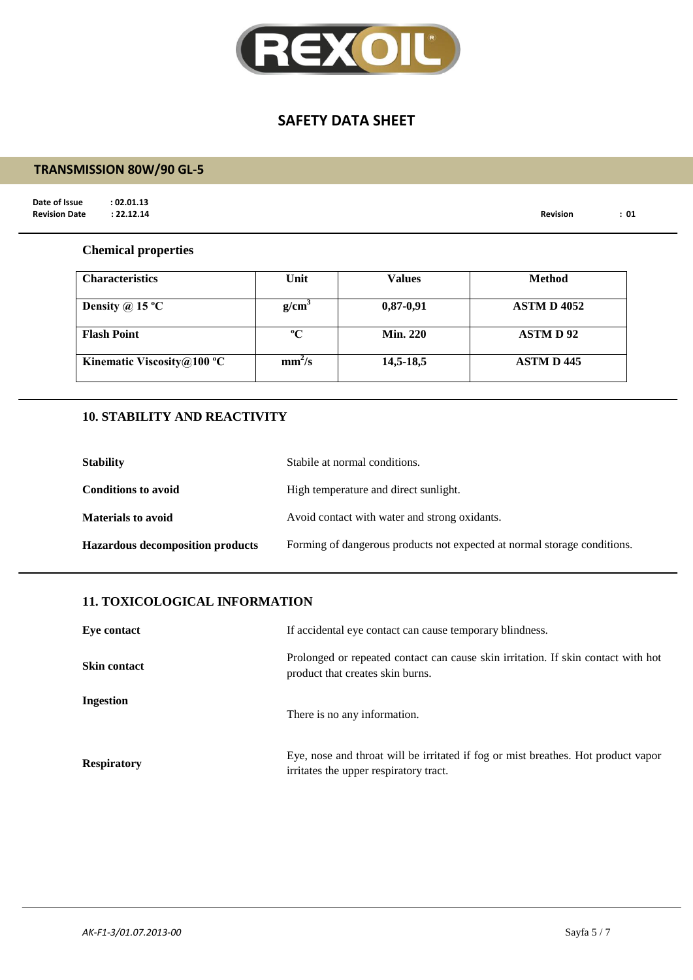

# **TRANSMISSION 80W/90 GL-5**

**Date of Issue : 02.01.13**<br>**Revision Date : 22.12.14** 

**Revision Date : 22.12.14 Revision : 01**

#### **Chemical properties**

| <b>Characteristics</b>        | Unit               | Values          | Method             |
|-------------------------------|--------------------|-----------------|--------------------|
| Density @ 15 $^{\circ}$ C     | g/cm <sup>3</sup>  | $0,87-0,91$     | <b>ASTM D 4052</b> |
| <b>Flash Point</b>            | $\rm ^oC$          | <b>Min. 220</b> | <b>ASTMD92</b>     |
| Kinematic Viscosity $@100 °C$ | mm <sup>2</sup> /s | 14,5-18,5       | <b>ASTM D 445</b>  |

## **10. STABILITY AND REACTIVITY**

| <b>Stability</b>                        | Stabile at normal conditions.                                            |
|-----------------------------------------|--------------------------------------------------------------------------|
| <b>Conditions to avoid</b>              | High temperature and direct sunlight.                                    |
| <b>Materials to avoid</b>               | Avoid contact with water and strong oxidants.                            |
| <b>Hazardous decomposition products</b> | Forming of dangerous products not expected at normal storage conditions. |

### **11. TOXICOLOGICAL INFORMATION**

| Eye contact         | If accidental eye contact can cause temporary blindness.                                                                    |
|---------------------|-----------------------------------------------------------------------------------------------------------------------------|
| <b>Skin contact</b> | Prolonged or repeated contact can cause skin irritation. If skin contact with hot<br>product that creates skin burns.       |
| Ingestion           | There is no any information.                                                                                                |
| <b>Respiratory</b>  | Eye, nose and throat will be irritated if fog or mist breathes. Hot product vapor<br>irritates the upper respiratory tract. |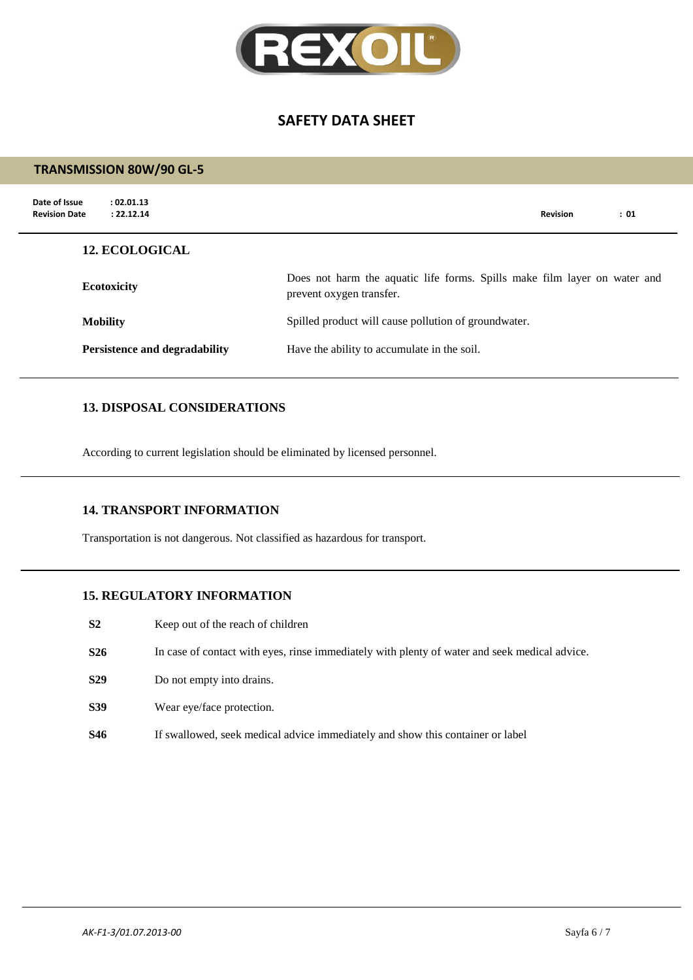

#### **TRANSMISSION 80W/90 GL-5**

| Date of Issue<br>: 02.01.13<br><b>Revision Date</b><br>: 22.12.14 |                                                                                                       | <b>Revision</b> | : 01 |
|-------------------------------------------------------------------|-------------------------------------------------------------------------------------------------------|-----------------|------|
| <b>12. ECOLOGICAL</b>                                             |                                                                                                       |                 |      |
| <b>Ecotoxicity</b>                                                | Does not harm the aquatic life forms. Spills make film layer on water and<br>prevent oxygen transfer. |                 |      |
| <b>Mobility</b>                                                   | Spilled product will cause pollution of groundwater.                                                  |                 |      |
| Persistence and degradability                                     | Have the ability to accumulate in the soil.                                                           |                 |      |

## **13. DISPOSAL CONSIDERATIONS**

According to current legislation should be eliminated by licensed personnel.

#### **14. TRANSPORT INFORMATION**

Transportation is not dangerous. Not classified as hazardous for transport.

## **15. REGULATORY INFORMATION**

- **S2** Keep out of the reach of children
- **S26** In case of contact with eyes, rinse immediately with plenty of water and seek medical advice.
- **S29** Do not empty into drains.
- **S39** Wear eye/face protection.
- **S46** If swallowed, seek medical advice immediately and show this container or label